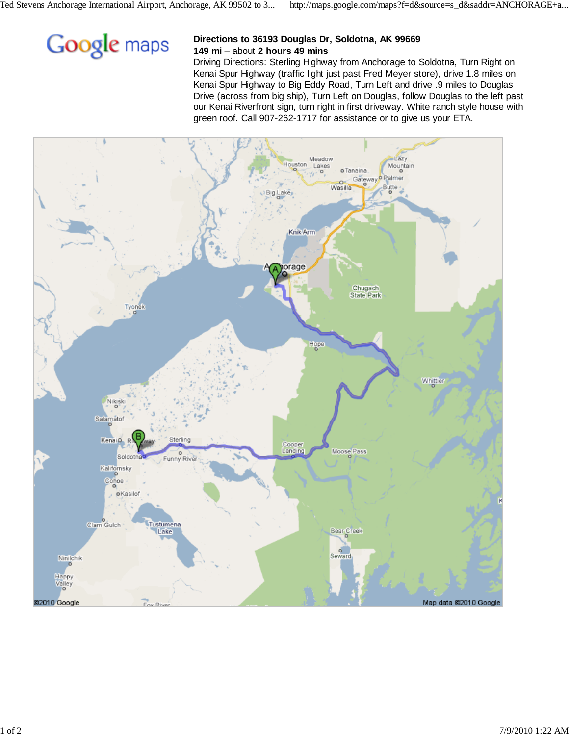

## **Directions to 36193 Douglas Dr, Soldotna, AK 99669 149 mi** – about **2 hours 49 mins**

Driving Directions: Sterling Highway from Anchorage to Soldotna, Turn Right on Kenai Spur Highway (traffic light just past Fred Meyer store), drive 1.8 miles on Kenai Spur Highway to Big Eddy Road, Turn Left and drive .9 miles to Douglas Drive (across from big ship), Turn Left on Douglas, follow Douglas to the left past our Kenai Riverfront sign, turn right in first driveway. White ranch style house with green roof. Call 907-262-1717 for assistance or to give us your ETA.